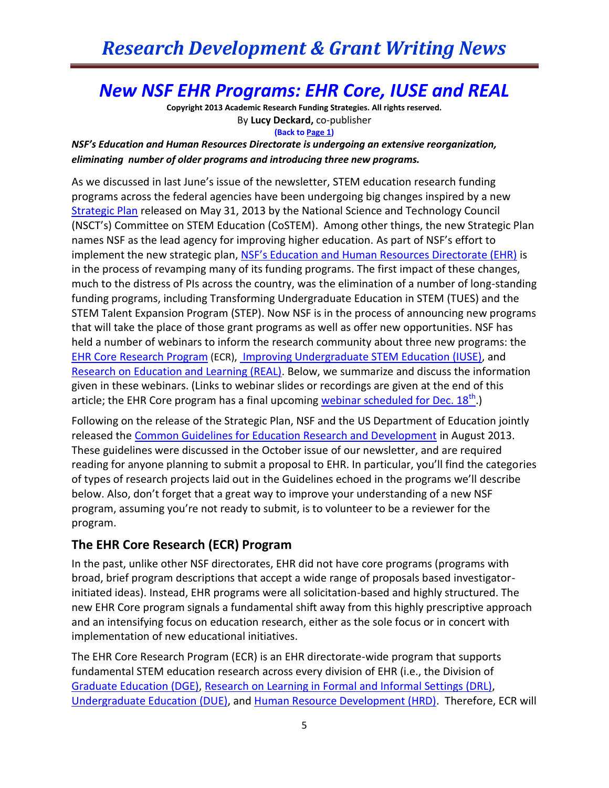### *New NSF EHR Programs: EHR Core, IUSE and REAL*

**Copyright 2013 Academic Research Funding Strategies. All rights reserved.** By **Lucy Deckard,** co-publisher **(Back to Page 1)**

*NSF's Education and Human Resources Directorate is undergoing an extensive reorganization, eliminating number of older programs and introducing three new programs.* 

As we discussed in last June's issue of the newsletter, STEM education research funding programs across the federal agencies have been undergoing big changes inspired by a new [Strategic Plan](http://www.whitehouse.gov/sites/default/files/microsites/ostp/stem_stratplan_2013.pdf) released on May 31, 2013 by the National Science and Technology Council (NSCT's) Committee on STEM Education (CoSTEM). Among other things, the new Strategic Plan names NSF as the lead agency for improving higher education. As part of NSF's effort to implement the new strategic plan, [NSF's Education and Human Resources Directorate \(EHR\)](http://www.nsf.gov/dir/index.jsp?org=EHR) is in the process of revamping many of its funding programs. The first impact of these changes, much to the distress of PIs across the country, was the elimination of a number of long-standing funding programs, including Transforming Undergraduate Education in STEM (TUES) and the STEM Talent Expansion Program (STEP). Now NSF is in the process of announcing new programs that will take the place of those grant programs as well as offer new opportunities. NSF has held a number of webinars to inform the research community about three new programs: the [EHR Core Research Program](http://www.nsf.gov/funding/pgm_summ.jsp?pims_id=504924&org=EHR&from=home) (ECR), [Improving Undergraduate STEM Education \(IUSE\),](http://www.nsf.gov/funding/pgm_summ.jsp?pims_id=504976&org=EHR&from=home%20(PD%2014-7513)) and [Research on Education and Learning \(REAL\).](http://www.nsf.gov/funding/pgm_summ.jsp?pims_id=13667&org=DRL&from=home) Below, we summarize and discuss the information given in these webinars. (Links to webinar slides or recordings are given at the end of this article; the EHR Core program has a final upcoming webinar scheduled for Dec.  $18<sup>th</sup>$ .)

Following on the release of the Strategic Plan, NSF and the US Department of Education jointly released the [Common Guidelines for Education Research and Development](http://ies.ed.gov/pdf/CommonGuidelines.pdf) in August 2013. These guidelines were discussed in the October issue of our newsletter, and are required reading for anyone planning to submit a proposal to EHR. In particular, you'll find the categories of types of research projects laid out in the Guidelines echoed in the programs we'll describe below. Also, don't forget that a great way to improve your understanding of a new NSF program, assuming you're not ready to submit, is to volunteer to be a reviewer for the program.

### **The EHR Core Research (ECR) Program**

In the past, unlike other NSF directorates, EHR did not have core programs (programs with broad, brief program descriptions that accept a wide range of proposals based investigatorinitiated ideas). Instead, EHR programs were all solicitation-based and highly structured. The new EHR Core program signals a fundamental shift away from this highly prescriptive approach and an intensifying focus on education research, either as the sole focus or in concert with implementation of new educational initiatives.

The EHR Core Research Program (ECR) is an EHR directorate-wide program that supports fundamental STEM education research across every division of EHR (i.e., the Division of [Graduate Education \(DGE\),](http://www.nsf.gov/div/index.jsp?div=DGE) [Research on Learning in Formal and Informal Settings \(DRL\),](http://www.nsf.gov/div/index.jsp?div=DRL) [Undergraduate Education \(DUE\),](http://www.nsf.gov/div/index.jsp?div=DUE) and [Human Resource Development \(HRD\).](http://www.nsf.gov/div/index.jsp?div=HRD) Therefore, ECR will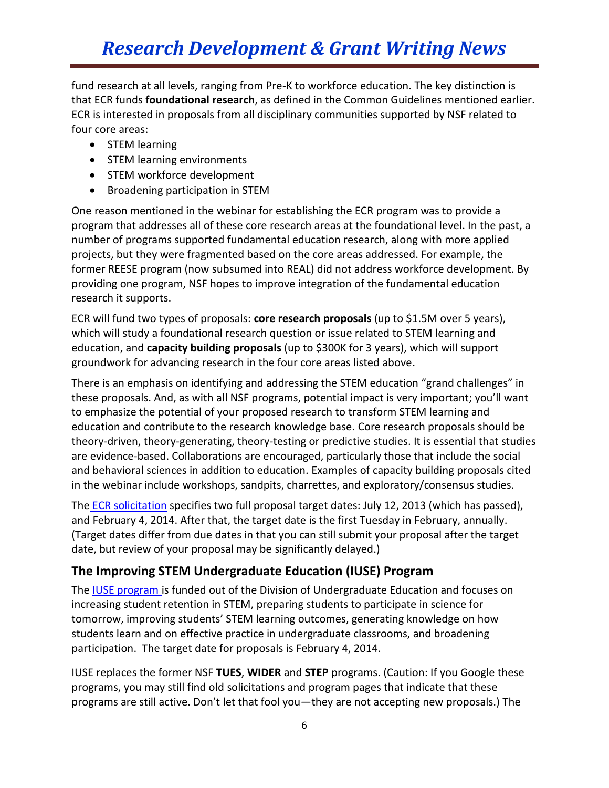# *Research Development & Grant Writing News*

fund research at all levels, ranging from Pre-K to workforce education. The key distinction is that ECR funds **foundational research**, as defined in the Common Guidelines mentioned earlier. ECR is interested in proposals from all disciplinary communities supported by NSF related to four core areas:

- STEM learning
- STEM learning environments
- STEM workforce development
- Broadening participation in STEM

One reason mentioned in the webinar for establishing the ECR program was to provide a program that addresses all of these core research areas at the foundational level. In the past, a number of programs supported fundamental education research, along with more applied projects, but they were fragmented based on the core areas addressed. For example, the former REESE program (now subsumed into REAL) did not address workforce development. By providing one program, NSF hopes to improve integration of the fundamental education research it supports.

ECR will fund two types of proposals: **core research proposals** (up to \$1.5M over 5 years), which will study a foundational research question or issue related to STEM learning and education, and **capacity building proposals** (up to \$300K for 3 years), which will support groundwork for advancing research in the four core areas listed above.

There is an emphasis on identifying and addressing the STEM education "grand challenges" in these proposals. And, as with all NSF programs, potential impact is very important; you'll want to emphasize the potential of your proposed research to transform STEM learning and education and contribute to the research knowledge base. Core research proposals should be theory-driven, theory-generating, theory-testing or predictive studies. It is essential that studies are evidence-based. Collaborations are encouraged, particularly those that include the social and behavioral sciences in addition to education. Examples of capacity building proposals cited in the webinar include workshops, sandpits, charrettes, and exploratory/consensus studies.

The ECR [solicitation](http://www.nsf.gov/publications/pub_summ.jsp?WT.z_pims_id=504924&ods_key=nsf13555) specifies two full proposal target dates: July 12, 2013 (which has passed), and February 4, 2014. After that, the target date is the first Tuesday in February, annually. (Target dates differ from due dates in that you can still submit your proposal after the target date, but review of your proposal may be significantly delayed.)

### **The Improving STEM Undergraduate Education (IUSE) Program**

The **IUSE program** is funded out of the Division of Undergraduate Education and focuses on increasing student retention in STEM, preparing students to participate in science for tomorrow, improving students' STEM learning outcomes, generating knowledge on how students learn and on effective practice in undergraduate classrooms, and broadening participation. The target date for proposals is February 4, 2014.

IUSE replaces the former NSF **TUES**, **WIDER** and **STEP** programs. (Caution: If you Google these programs, you may still find old solicitations and program pages that indicate that these programs are still active. Don't let that fool you—they are not accepting new proposals.) The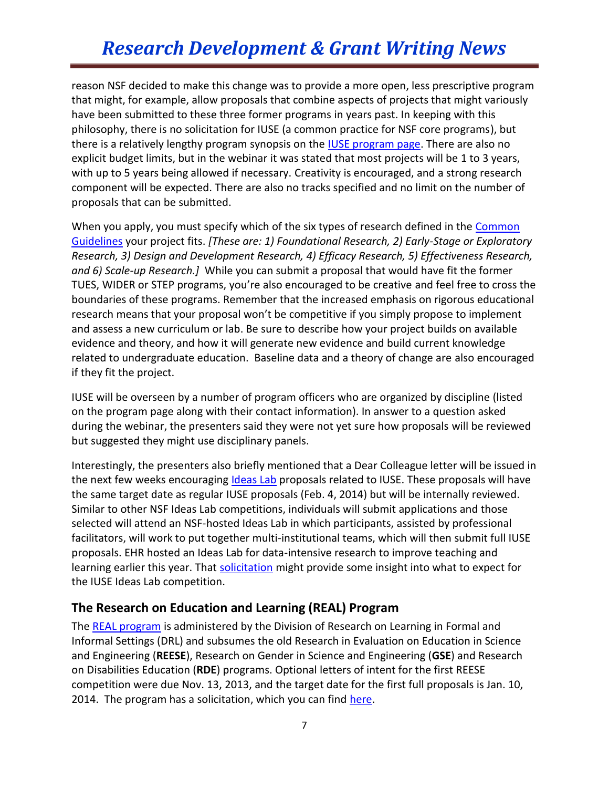### *Research Development & Grant Writing News*

reason NSF decided to make this change was to provide a more open, less prescriptive program that might, for example, allow proposals that combine aspects of projects that might variously have been submitted to these three former programs in years past. In keeping with this philosophy, there is no solicitation for IUSE (a common practice for NSF core programs), but there is a relatively lengthy program synopsis on the **IUSE** program page. There are also no explicit budget limits, but in the webinar it was stated that most projects will be 1 to 3 years, with up to 5 years being allowed if necessary. Creativity is encouraged, and a strong research component will be expected. There are also no tracks specified and no limit on the number of proposals that can be submitted.

When you apply, you must specify which of the six types of research defined in the Common [Guidelines](http://ies.ed.gov/pdf/CommonGuidelines.pdf) your project fits. *[These are: 1) Foundational Research, 2) Early-Stage or Exploratory Research, 3) Design and Development Research, 4) Efficacy Research, 5) Effectiveness Research, and 6) Scale-up Research.]* While you can submit a proposal that would have fit the former TUES, WIDER or STEP programs, you're also encouraged to be creative and feel free to cross the boundaries of these programs. Remember that the increased emphasis on rigorous educational research means that your proposal won't be competitive if you simply propose to implement and assess a new curriculum or lab. Be sure to describe how your project builds on available evidence and theory, and how it will generate new evidence and build current knowledge related to undergraduate education. Baseline data and a theory of change are also encouraged if they fit the project.

IUSE will be overseen by a number of program officers who are organized by discipline (listed on the program page along with their contact information). In answer to a question asked during the webinar, the presenters said they were not yet sure how proposals will be reviewed but suggested they might use disciplinary panels.

Interestingly, the presenters also briefly mentioned that a Dear Colleague letter will be issued in the next few weeks encouraging [Ideas Lab](http://knowinnovation.com/ideas-lab/) proposals related to IUSE. These proposals will have the same target date as regular IUSE proposals (Feb. 4, 2014) but will be internally reviewed. Similar to other NSF Ideas Lab competitions, individuals will submit applications and those selected will attend an NSF-hosted Ideas Lab in which participants, assisted by professional facilitators, will work to put together multi-institutional teams, which will then submit full IUSE proposals. EHR hosted an Ideas Lab for data-intensive research to improve teaching and learning earlier this year. That [solicitation](http://www.nsf.gov/pubs/2013/nsf13565/nsf13565.htm?WT.mc_id=USNSF_25&WT.mc_ev=click) might provide some insight into what to expect for the IUSE Ideas Lab competition.

#### **The Research on Education and Learning (REAL) Program**

The [REAL program](http://www.nsf.gov/funding/pgm_summ.jsp?pims_id=13667&org=DRL&from=home) is administered by the Division of Research on Learning in Formal and Informal Settings (DRL) and subsumes the old Research in Evaluation on Education in Science and Engineering (**REESE**), Research on Gender in Science and Engineering (**GSE**) and Research on Disabilities Education (**RDE**) programs. Optional letters of intent for the first REESE competition were due Nov. 13, 2013, and the target date for the first full proposals is Jan. 10, 2014. The program has a solicitation, which you can find [here.](http://www.nsf.gov/pubs/2013/nsf13604/nsf13604.htm)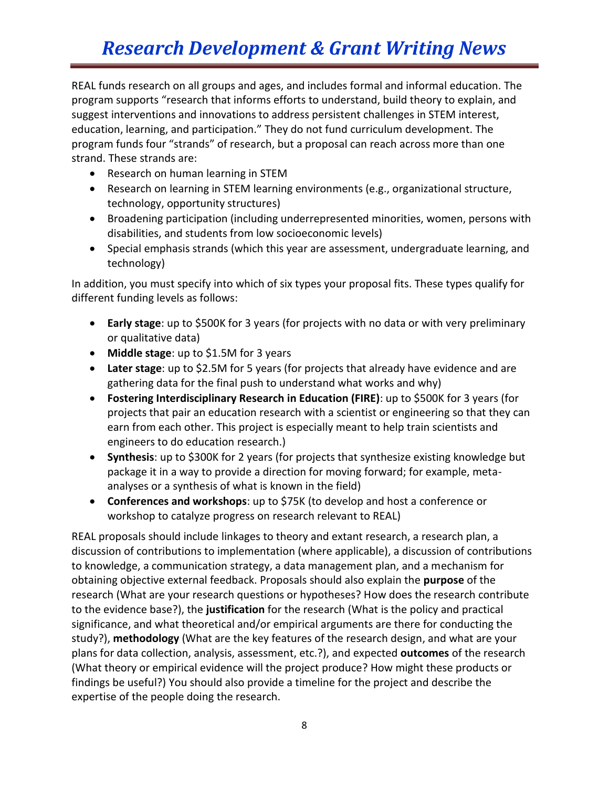# *Research Development & Grant Writing News*

REAL funds research on all groups and ages, and includes formal and informal education. The program supports "research that informs efforts to understand, build theory to explain, and suggest interventions and innovations to address persistent challenges in STEM interest, education, learning, and participation." They do not fund curriculum development. The program funds four "strands" of research, but a proposal can reach across more than one strand. These strands are:

- Research on human learning in STEM
- Research on learning in STEM learning environments (e.g., organizational structure, technology, opportunity structures)
- Broadening participation (including underrepresented minorities, women, persons with disabilities, and students from low socioeconomic levels)
- Special emphasis strands (which this year are assessment, undergraduate learning, and technology)

In addition, you must specify into which of six types your proposal fits. These types qualify for different funding levels as follows:

- **Early stage**: up to \$500K for 3 years (for projects with no data or with very preliminary or qualitative data)
- **Middle stage**: up to \$1.5M for 3 years
- **Later stage**: up to \$2.5M for 5 years (for projects that already have evidence and are gathering data for the final push to understand what works and why)
- **Fostering Interdisciplinary Research in Education (FIRE)**: up to \$500K for 3 years (for projects that pair an education research with a scientist or engineering so that they can earn from each other. This project is especially meant to help train scientists and engineers to do education research.)
- **Synthesis**: up to \$300K for 2 years (for projects that synthesize existing knowledge but package it in a way to provide a direction for moving forward; for example, metaanalyses or a synthesis of what is known in the field)
- **Conferences and workshops**: up to \$75K (to develop and host a conference or workshop to catalyze progress on research relevant to REAL)

REAL proposals should include linkages to theory and extant research, a research plan, a discussion of contributions to implementation (where applicable), a discussion of contributions to knowledge, a communication strategy, a data management plan, and a mechanism for obtaining objective external feedback. Proposals should also explain the **purpose** of the research (What are your research questions or hypotheses? How does the research contribute to the evidence base?), the **justification** for the research (What is the policy and practical significance, and what theoretical and/or empirical arguments are there for conducting the study?), **methodology** (What are the key features of the research design, and what are your plans for data collection, analysis, assessment, etc.?), and expected **outcomes** of the research (What theory or empirical evidence will the project produce? How might these products or findings be useful?) You should also provide a timeline for the project and describe the expertise of the people doing the research.